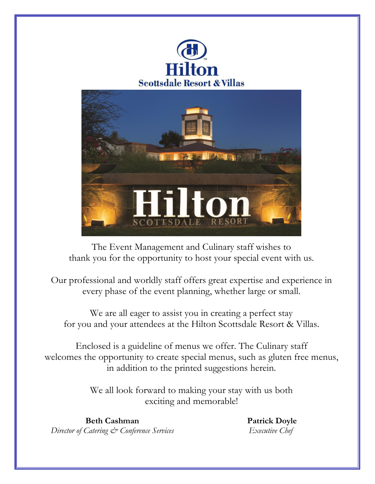



The Event Management and Culinary staff wishes to thank you for the opportunity to host your special event with us.

Our professional and worldly staff offers great expertise and experience in every phase of the event planning, whether large or small.

We are all eager to assist you in creating a perfect stay for you and your attendees at the Hilton Scottsdale Resort & Villas.

Enclosed is a guideline of menus we offer. The Culinary staff welcomes the opportunity to create special menus, such as gluten free menus, in addition to the printed suggestions herein.

> We all look forward to making your stay with us both exciting and memorable!

**Beth Cashman** *Director of Catering & Conference Services* **Patrick Doyle** *Executive Chef*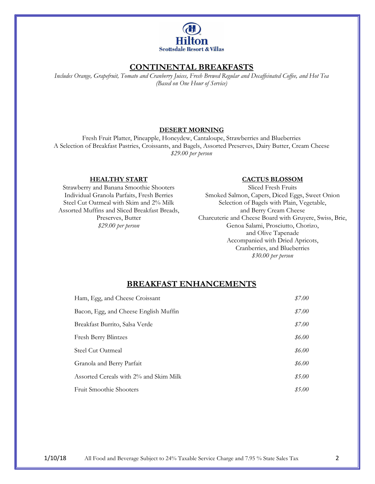

# **CONTINENTAL BREAKFASTS**

*Includes Orange, Grapefruit, Tomato and Cranberry Juices, Fresh Brewed Regular and Decaffeinated Coffee, and Hot Tea (Based on One Hour of Service)*

## **DESERT MORNING**

Fresh Fruit Platter, Pineapple, Honeydew, Cantaloupe, Strawberries and Blueberries A Selection of Breakfast Pastries, Croissants, and Bagels, Assorted Preserves, Dairy Butter, Cream Cheese *\$29.00 per person*

#### **HEALTHY START**

Strawberry and Banana Smoothie Shooters Individual Granola Parfaits, Fresh Berries Steel Cut Oatmeal with Skim and 2% Milk Assorted Muffins and Sliced Breakfast Breads, Preserves, Butter *\$29.00 per person*

#### **CACTUS BLOSSOM**

Sliced Fresh Fruits Smoked Salmon, Capers, Diced Eggs, Sweet Onion Selection of Bagels with Plain, Vegetable, and Berry Cream Cheese Charcuterie and Cheese Board with Gruyere, Swiss, Brie, Genoa Salami, Prosciutto, Chorizo, and Olive Tapenade Accompanied with Dried Apricots, Cranberries, and Blueberries *\$30.00 per person*

## **BREAKFAST ENHANCEMENTS**

| Ham, Egg, and Cheese Croissant         | \$7.00 |
|----------------------------------------|--------|
| Bacon, Egg, and Cheese English Muffin  | \$7.00 |
| Breakfast Burrito, Salsa Verde         | \$7.00 |
| <b>Fresh Berry Blintzes</b>            | \$6.00 |
| Steel Cut Oatmeal                      | \$6.00 |
| Granola and Berry Parfait              | \$6.00 |
| Assorted Cereals with 2% and Skim Milk | \$5.00 |
| <b>Fruit Smoothie Shooters</b>         | \$5.00 |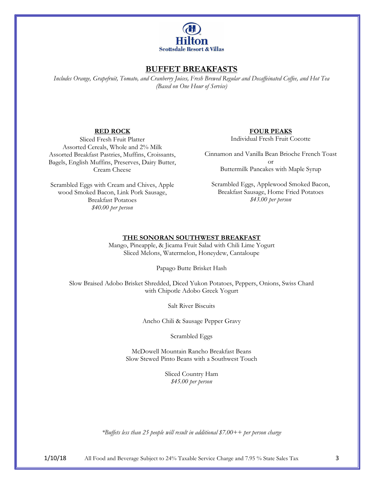

## **BUFFET BREAKFASTS**

*Includes Orange, Grapefruit, Tomato, and Cranberry Juices, Fresh Brewed Regular and Decaffeinated Coffee, and Hot Tea (Based on One Hour of Service)*

## **RED ROCK**

Sliced Fresh Fruit Platter Assorted Cereals, Whole and 2% Milk Assorted Breakfast Pastries, Muffins, Croissants, Bagels, English Muffins, Preserves, Dairy Butter, Cream Cheese

Scrambled Eggs with Cream and Chives, Apple wood Smoked Bacon, Link Pork Sausage, Breakfast Potatoes *\$40.00 per person*

#### **FOUR PEAKS**

Individual Fresh Fruit Cocotte

Cinnamon and Vanilla Bean Brioche French Toast or Buttermilk Pancakes with Maple Syrup

Scrambled Eggs, Applewood Smoked Bacon, Breakfast Sausage, Home Fried Potatoes *\$43.00 per person*

#### **THE SONORAN SOUTHWEST BREAKFAST**

Mango, Pineapple, & Jicama Fruit Salad with Chili Lime Yogurt Sliced Melons, Watermelon, Honeydew, Cantaloupe

Papago Butte Brisket Hash

Slow Braised Adobo Brisket Shredded, Diced Yukon Potatoes, Peppers, Onions, Swiss Chard with Chipotle Adobo Greek Yogurt

Salt River Biscuits

Ancho Chili & Sausage Pepper Gravy

Scrambled Eggs

McDowell Mountain Rancho Breakfast Beans Slow Stewed Pinto Beans with a Southwest Touch

> Sliced Country Ham *\$45.00 per person*

*\*Buffets less than 25 people will result in additional \$7.00++ per person charge*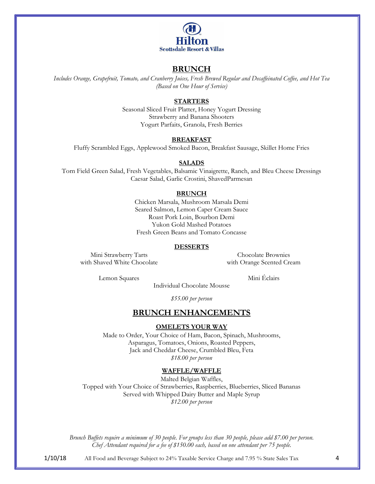

## **BRUNCH**

*Includes Orange, Grapefruit, Tomato, and Cranberry Juices, Fresh Brewed Regular and Decaffeinated Coffee, and Hot Tea (Based on One Hour of Service)*

### **STARTERS**

Seasonal Sliced Fruit Platter, Honey Yogurt Dressing Strawberry and Banana Shooters Yogurt Parfaits, Granola, Fresh Berries

#### **BREAKFAST**

Fluffy Scrambled Eggs, Applewood Smoked Bacon, Breakfast Sausage, Skillet Home Fries

#### **SALADS**

Torn Field Green Salad, Fresh Vegetables, Balsamic Vinaigrette, Ranch, and Bleu Cheese Dressings Caesar Salad, Garlic Crostini, ShavedParmesan

#### **BRUNCH**

Chicken Marsala, Mushroom Marsala Demi Seared Salmon, Lemon Caper Cream Sauce Roast Pork Loin, Bourbon Demi Yukon Gold Mashed Potatoes Fresh Green Beans and Tomato Concasse

#### **DESSERTS**

Mini Strawberry Tarts with Shaved White Chocolate

Chocolate Brownies with Orange Scented Cream

Lemon Squares Mini Éclairs

Individual Chocolate Mousse

*\$55.00 per person*

## **BRUNCH ENHANCEMENTS**

#### **OMELETS YOUR WAY**

Made to Order, Your Choice of Ham, Bacon, Spinach, Mushrooms, Asparagus, Tomatoes, Onions, Roasted Peppers, Jack and Cheddar Cheese, Crumbled Bleu, Feta *\$18.00 per person*

#### **WAFFLE/WAFFLE**

Malted Belgian Waffles, Topped with Your Choice of Strawberries, Raspberries, Blueberries, Sliced Bananas Served with Whipped Dairy Butter and Maple Syrup *\$12.00 per person*

*Brunch Buffets require a minimum of 30 people. For groups less than 30 people, please add \$7.00 per person. Chef Attendant required for a fee of \$150.00 each, based on one attendant per 75 people.*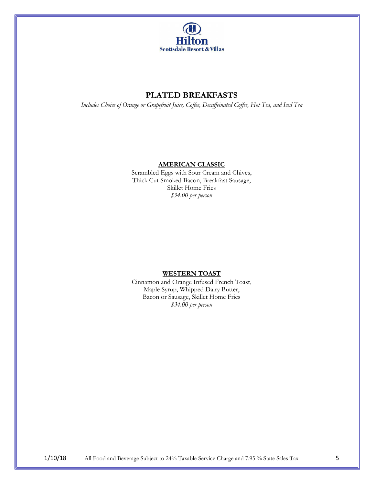

# **PLATED BREAKFASTS**

*Includes Choice of Orange or Grapefruit Juice, Coffee, Decaffeinated Coffee, Hot Tea, and Iced Tea*

### **AMERICAN CLASSIC**

Scrambled Eggs with Sour Cream and Chives, Thick Cut Smoked Bacon, Breakfast Sausage, Skillet Home Fries *\$34.00 per person*

## **WESTERN TOAST**

Cinnamon and Orange Infused French Toast, Maple Syrup, Whipped Dairy Butter, Bacon or Sausage, Skillet Home Fries *\$34.00 per person*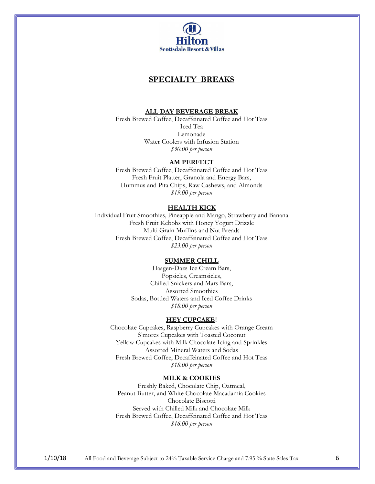

## **SPECIALTY BREAKS**

#### **ALL DAY BEVERAGE BREAK**

Fresh Brewed Coffee, Decaffeinated Coffee and Hot Teas Iced Tea Lemonade Water Coolers with Infusion Station *\$30.00 per person*

#### **AM PERFECT**

Fresh Brewed Coffee, Decaffeinated Coffee and Hot Teas Fresh Fruit Platter, Granola and Energy Bars, Hummus and Pita Chips, Raw Cashews, and Almonds *\$19.00 per person*

#### **HEALTH KICK**

Individual Fruit Smoothies, Pineapple and Mango, Strawberry and Banana Fresh Fruit Kebobs with Honey Yogurt Drizzle Multi Grain Muffins and Nut Breads Fresh Brewed Coffee, Decaffeinated Coffee and Hot Teas *\$23.00 per person*

#### **SUMMER CHILL**

Haagen-Dazs Ice Cream Bars, Popsicles, Creamsicles, Chilled Snickers and Mars Bars, Assorted Smoothies Sodas, Bottled Waters and Iced Coffee Drinks *\$18.00 per person*

#### **HEY CUPCAKE**!

Chocolate Cupcakes, Raspberry Cupcakes with Orange Cream S'mores Cupcakes with Toasted Coconut Yellow Cupcakes with Milk Chocolate Icing and Sprinkles Assorted Mineral Waters and Sodas Fresh Brewed Coffee, Decaffeinated Coffee and Hot Teas *\$18.00 per person*

#### **MILK & COOKIES**

Freshly Baked, Chocolate Chip, Oatmeal, Peanut Butter, and White Chocolate Macadamia Cookies Chocolate Biscotti Served with Chilled Milk and Chocolate Milk Fresh Brewed Coffee, Decaffeinated Coffee and Hot Teas *\$16.00 per person*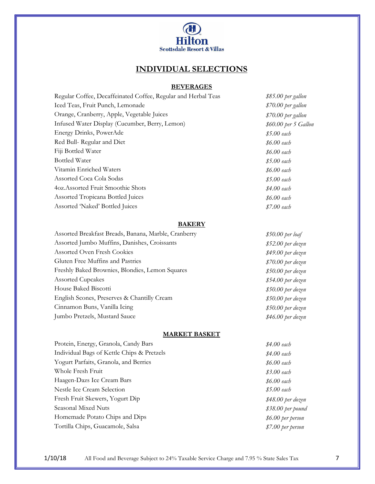

# **INDIVIDUAL SELECTIONS**

# **BEVERAGES**

| Regular Coffee, Decaffeinated Coffee, Regular and Herbal Teas | \$85.00 per gallon   |
|---------------------------------------------------------------|----------------------|
| Iced Teas, Fruit Punch, Lemonade                              | \$70.00 per gallon   |
| Orange, Cranberry, Apple, Vegetable Juices                    | \$70.00 per gallon   |
| Infused Water Display (Cucumber, Berry, Lemon)                | \$60.00 per 5 Gallon |
| Energy Drinks, PowerAde                                       | \$5.00 each          |
| Red Bull- Regular and Diet                                    | \$6.00 each          |
| Fiji Bottled Water                                            | \$6.00 each          |
| Bottled Water                                                 | \$5.00 each          |
| Vitamin Enriched Waters                                       | \$6.00 each          |
| Assorted Coca Cola Sodas                                      | \$5.00 each          |
| 4oz.Assorted Fruit Smoothie Shots                             | \$4.00 each          |
| <b>Assorted Tropicana Bottled Juices</b>                      | \$6.00 each          |
| Assorted 'Naked' Bottled Juices                               | \$7.00 each          |
|                                                               |                      |

### **BAKERY**

| Assorted Breakfast Breads, Banana, Marble, Cranberry | $$50.00$ per loaf  |
|------------------------------------------------------|--------------------|
| Assorted Jumbo Muffins, Danishes, Croissants         | $$52.00$ per dozen |
| <b>Assorted Oven Fresh Cookies</b>                   | $$49.00$ per dozen |
| Gluten Free Muffins and Pastries                     | $$70.00$ per dozen |
| Freshly Baked Brownies, Blondies, Lemon Squares      | $$50.00$ per dozen |
| <b>Assorted Cupcakes</b>                             | $$54.00$ per dozen |
| House Baked Biscotti                                 | $$50.00$ per dozen |
| English Scones, Preserves & Chantilly Cream          | $$50.00$ per dozen |
| Cinnamon Buns, Vanilla Icing                         | $$50.00$ per dozen |
| Jumbo Pretzels, Mustard Sauce                        | $$46.00$ per dozen |
|                                                      |                    |

### **MARKET BASKET**

| Protein, Energy, Granola, Candy Bars       | \$4.00 each        |
|--------------------------------------------|--------------------|
| Individual Bags of Kettle Chips & Pretzels | \$4.00 each        |
| Yogurt Parfaits, Granola, and Berries      | \$6.00 each        |
| Whole Fresh Fruit                          | \$3.00 each        |
| Haagen-Dazs Ice Cream Bars                 | $$6.00$ each       |
| Nestle Ice Cream Selection                 | \$5.00 each        |
| Fresh Fruit Skewers, Yogurt Dip            | $$48.00$ per dozen |
| Seasonal Mixed Nuts                        | \$38.00 per pound  |
| Homemade Potato Chips and Dips             | \$6.00 per person  |
| Tortilla Chips, Guacamole, Salsa           | \$7.00 per person  |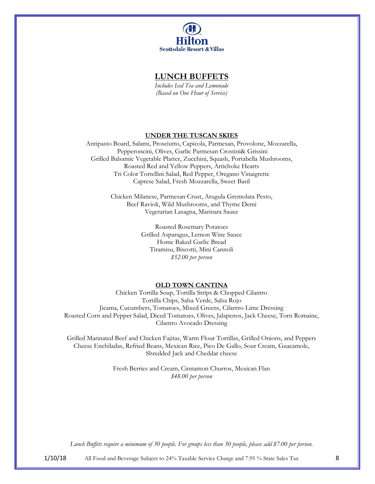

## **LUNCH BUFFETS**

*Includes Iced Tea and Lemonade (Based on One Hour of Service)* 

#### **UNDER THE TUSCAN SKIES**

Antipasto Board, Salami, Prosciutto, Capicola, Parmesan, Provolone, Mozzarella, Pepperoncini, Olives, Garlic Parmesan Crostini& Grissini Grilled Balsamic Vegetable Platter, Zucchini, Squash, Portabella Mushrooms, Roasted Red and Yellow Peppers, Artichoke Hearts Tri Color Tortellini Salad, Red Pepper, Oregano Vinaigrette Caprese Salad, Fresh Mozzarella, Sweet Basil

> Chicken Milanese, Parmesan Crust, Arugula Gremolata Pesto, Beef Ravioli, Wild Mushrooms, and Thyme Demi Vegetarian Lasagna, Marinara Sauce

> > Roasted Rosemary Potatoes Grilled Asparagus, Lemon Wine Sauce Home Baked Garlic Bread Tiramisu, Biscotti, Mini Cannoli *\$52.00 per person*

#### **OLD TOWN CANTINA**

Chicken Tortilla Soup, Tortilla Strips & Chopped Cilantro Tortilla Chips, Salsa Verde, Salsa Rojo Jicama, Cucumbers, Tomatoes, Mixed Greens, Cilantro Lime Dressing Roasted Corn and Pepper Salad, Diced Tomatoes, Olives, Jalapenos, Jack Cheese, Torn Romaine, Cilantro Avocado Dressing

Grilled Marinated Beef and Chicken Fajitas, Warm Flour Tortillas, Grilled Onions, and Peppers Cheese Enchiladas, Refried Beans, Mexican Rice, Pico De Gallo, Sour Cream, Guacamole, Shredded Jack and Cheddar cheese

> Fresh Berries and Cream, Cinnamon Churros, Mexican Flan *\$48.00 per person*

*Lunch Buffets require a minimum of 30 people. For groups less than 30 people, please add \$7.00 per person.*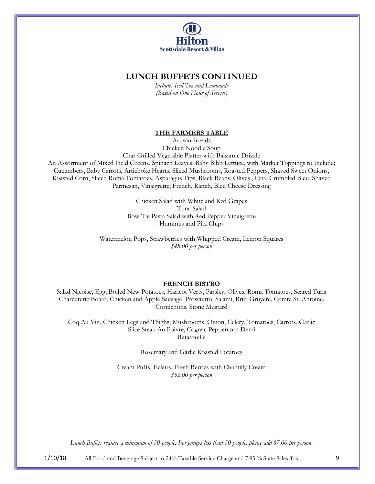

## **LUNCH BUFFETS CONTINUED**

*Includes Iced Tea and Lemonade (Based on One Hour of Service)* 

#### **THE FARMERS TABLE**

Artisan Breads Chicken Noodle Soup

Char Grilled Vegetable Platter with Balsamic Drizzle

An Assortment of Mixed Field Greens, Spinach Leaves, Baby Bibb Lettuce, with Market Toppings to Include; Cucumbers, Baby Carrots, Artichoke Hearts, Sliced Mushrooms, Roasted Peppers, Shaved Sweet Onions, Roasted Corn, Sliced Roma Tomatoes, Asparagus Tips, Black Beans, Olives , Feta, Crumbled Bleu, Shaved Parmesan, Vinaigrette, French, Ranch, Bleu Cheese Dressing

> Chicken Salad with White and Red Grapes Tuna Salad Bow Tie Pasta Salad with Red Pepper Vinaigrette Hummus and Pita Chips

Watermelon Pops, Strawberries with Whipped Cream, Lemon Squares *\$48.00 per person*

## **FRENCH BISTRO**

Salad Nicoise, Egg, Boiled New Potatoes, Haricot Verts, Parsley, Olives, Roma Tomatoes, Seared Tuna Charcuterie Board, Chicken and Apple Sausage, Prosciutto, Salami, Brie, Gruyere, Comte St. Antoine, Cornichons, Stone Mustard

Coq Au Vin, Chicken Legs and Thighs, Mushrooms, Onion, Celery, Tomatoes, Carrots, Garlic Slice Steak Au Poivre, Cognac Peppercorn Demi Ratatouille

Rosemary and Garlic Roasted Potatoes

Cream Puffs, Éclairs, Fresh Berries with Chantilly Cream *\$52.00 per person* 

*Lunch Buffets require a minimum of 30 people. For groups less than 30 people, please add \$7.00 per person.*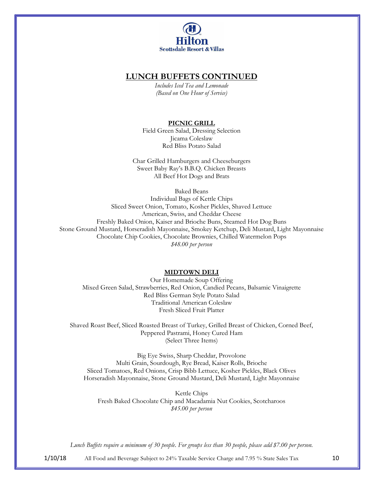

## **LUNCH BUFFETS CONTINUED**

*Includes Iced Tea and Lemonade (Based on One Hour of Service)* 

## **PICNIC GRILL**

Field Green Salad, Dressing Selection Jicama Coleslaw Red Bliss Potato Salad

Char Grilled Hamburgers and Cheeseburgers Sweet Baby Ray's B.B.Q. Chicken Breasts All Beef Hot Dogs and Brats

Baked Beans Individual Bags of Kettle Chips Sliced Sweet Onion, Tomato, Kosher Pickles, Shaved Lettuce American, Swiss, and Cheddar Cheese Freshly Baked Onion, Kaiser and Brioche Buns, Steamed Hot Dog Buns Stone Ground Mustard, Horseradish Mayonnaise, Smokey Ketchup, Deli Mustard, Light Mayonnaise Chocolate Chip Cookies, Chocolate Brownies, Chilled Watermelon Pops *\$48.00 per person*

## **MIDTOWN DELI**

Our Homemade Soup Offering Mixed Green Salad, Strawberries, Red Onion, Candied Pecans, Balsamic Vinaigrette Red Bliss German Style Potato Salad Traditional American Coleslaw Fresh Sliced Fruit Platter

Shaved Roast Beef, Sliced Roasted Breast of Turkey, Grilled Breast of Chicken, Corned Beef, Peppered Pastrami, Honey Cured Ham (Select Three Items)

Big Eye Swiss, Sharp Cheddar, Provolone Multi Grain, Sourdough, Rye Bread, Kaiser Rolls, Brioche Sliced Tomatoes, Red Onions, Crisp Bibb Lettuce, Kosher Pickles, Black Olives Horseradish Mayonnaise, Stone Ground Mustard, Deli Mustard, Light Mayonnaise

Kettle Chips Fresh Baked Chocolate Chip and Macadamia Nut Cookies, Scotcharoos *\$45.00 per person*

*Lunch Buffets require a minimum of 30 people. For groups less than 30 people, please add \$7.00 per person.*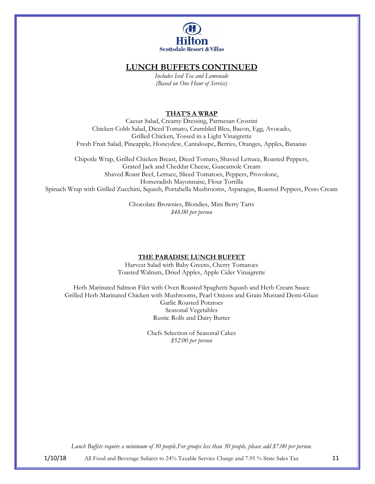

# **LUNCH BUFFETS CONTINUED**

*Includes Iced Tea and Lemonade (Based on One Hour of Service)* 

### **THAT'S A WRAP**

Caesar Salad, Creamy Dressing, Parmesan Crostini Chicken Cobb Salad, Diced Tomato, Crumbled Bleu, Bacon, Egg, Avocado, Grilled Chicken, Tossed in a Light Vinaigrette Fresh Fruit Salad, Pineapple, Honeydew, Cantaloupe, Berries, Oranges, Apples, Bananas

Chipotle Wrap, Grilled Chicken Breast, Diced Tomato, Shaved Lettuce, Roasted Peppers, Grated Jack and Cheddar Cheese, Guacamole Cream Shaved Roast Beef, Lettuce, Sliced Tomatoes, Peppers, Provolone, Horseradish Mayonnaise, Flour Tortilla Spinach Wrap with Grilled Zucchini, Squash, Portabella Mushrooms, Asparagus, Roasted Peppers, Pesto Cream

> Chocolate Brownies, Blondies, Mini Berry Tarts *\$48.00 per person*

#### **THE PARADISE LUNCH BUFFET**

Harvest Salad with Baby Greens, Cherry Tomatoes Toasted Walnuts, Dried Apples, Apple Cider Vinaigrette

Herb Marinated Salmon Filet with Oven Roasted Spaghetti Squash and Herb Cream Sauce Grilled Herb Marinated Chicken with Mushrooms, Pearl Onions and Grain Mustard Demi-Glaze Garlic Roasted Potatoes Seasonal Vegetables Rustic Rolls and Dairy Butter

> Chefs Selection of Seasonal Cakes *\$52.00 per person*

*Lunch Buffets require a minimum of 30 people.For groups less than 30 people, please add \$7.00 per person.*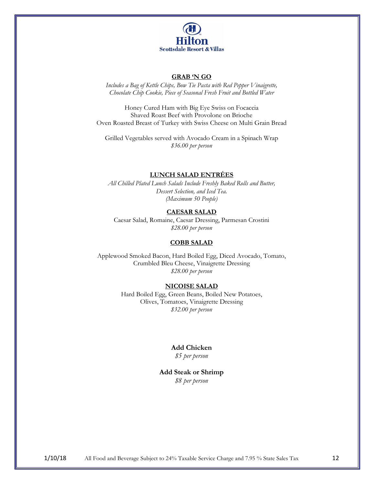

#### **GRAB 'N GO**

*Includes a Bag of Kettle Chips, Bow Tie Pasta with Red Pepper Vinaigrette, Chocolate Chip Cookie, Piece of Seasonal Fresh Fruit and Bottled Water*

Honey Cured Ham with Big Eye Swiss on Focaccia Shaved Roast Beef with Provolone on Brioche Oven Roasted Breast of Turkey with Swiss Cheese on Multi Grain Bread

Grilled Vegetables served with Avocado Cream in a Spinach Wrap *\$36.00 per person*

## **LUNCH SALAD ENTRÉES**

*All Chilled Plated Lunch Salads Include Freshly Baked Rolls and Butter, Dessert Selection, and Iced Tea. (Maximum 50 People)*

### **CAESAR SALAD**

Caesar Salad, Romaine, Caesar Dressing, Parmesan Crostini *\$28.00 per person*

#### **COBB SALAD**

Applewood Smoked Bacon, Hard Boiled Egg, Diced Avocado, Tomato, Crumbled Bleu Cheese, Vinaigrette Dressing *\$28.00 per person*

#### **NICOISE SALAD**

Hard Boiled Egg, Green Beans, Boiled New Potatoes, Olives, Tomatoes, Vinaigrette Dressing *\$32.00 per person*

#### **Add Chicken**

*\$5 per person*

### **Add Steak or Shrimp** *\$8 per person*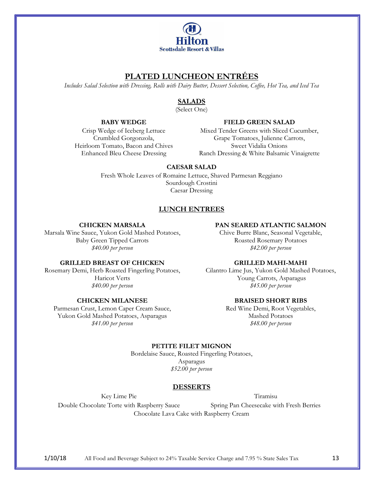

# **PLATED LUNCHEON ENTRÉES**

*Includes Salad Selection with Dressing, Rolls with Dairy Butter, Dessert Selection, Coffee, Hot Tea, and Iced Tea*

## **SALADS**

(Select One)

## **BABY WEDGE**

## **FIELD GREEN SALAD**

Crisp Wedge of Iceberg Lettuce Crumbled Gorgonzola, Heirloom Tomato, Bacon and Chives Enhanced Bleu Cheese Dressing

Mixed Tender Greens with Sliced Cucumber, Grape Tomatoes, Julienne Carrots, Sweet Vidalia Onions Ranch Dressing & White Balsamic Vinaigrette

## **CAESAR SALAD**

Fresh Whole Leaves of Romaine Lettuce, Shaved Parmesan Reggiano Sourdough Crostini Caesar Dressing

## **LUNCH ENTREES**

## **CHICKEN MARSALA**

Marsala Wine Sauce, Yukon Gold Mashed Potatoes, Baby Green Tipped Carrots *\$40.00 per person*

## **PAN SEARED ATLANTIC SALMON**

Chive Burre Blanc, Seasonal Vegetable, Roasted Rosemary Potatoes *\$42.00 per person*

## **GRILLED BREAST OF CHICKEN**

Rosemary Demi, Herb Roasted Fingerling Potatoes, Haricot Verts *\$40.00 per person*

## **CHICKEN MILANESE**

Parmesan Crust, Lemon Caper Cream Sauce, Yukon Gold Mashed Potatoes, Asparagus *\$41.00 per person*

## **GRILLED MAHI-MAHI**

Cilantro Lime Jus, Yukon Gold Mashed Potatoes, Young Carrots, Asparagus *\$45.00 per person*

## **BRAISED SHORT RIBS**

Red Wine Demi, Root Vegetables, Mashed Potatoes *\$48.00 per person*

## **PETITE FILET MIGNON**

Bordelaise Sauce, Roasted Fingerling Potatoes, Asparagus *\$52.00 per person*

## **DESSERTS**

Key Lime Pie Tiramisu

Double Chocolate Torte with Raspberry Sauce Spring Pan Cheesecake with Fresh Berries Chocolate Lava Cake with Raspberry Cream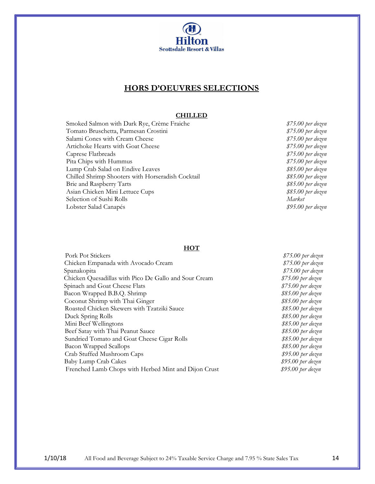

# **HORS D'OEUVRES SELECTIONS**

## **CHILLED**

| Smoked Salmon with Dark Rye, Crème Fraiche        | \$75.00 |
|---------------------------------------------------|---------|
| Tomato Bruschetta, Parmesan Crostini              | \$75.00 |
| Salami Cones with Cream Cheese                    | \$75.00 |
| Artichoke Hearts with Goat Cheese                 | \$75.00 |
| Caprese Flatbreads                                | \$75.00 |
| Pita Chips with Hummus                            | \$75.00 |
| Lump Crab Salad on Endive Leaves                  | \$85.00 |
| Chilled Shrimp Shooters with Horseradish Cocktail | \$85.00 |
| Brie and Raspberry Tarts                          | \$85.00 |
| Asian Chicken Mini Lettuce Cups                   | \$85.00 |
| Selection of Sushi Rolls                          | Market  |
| Lobster Salad Canapés                             | \$95.00 |
|                                                   |         |

 $$75.00$  per dozen  $$75.00$  per dozen  $$75.00$  per dozen  $$75.00$  per dozen  $$75.00$  per dozen  $$75.00$  per dozen Lump Crab Salad on Endive Leaves *\$85.00 per dozen*  $$85.00$  per dozen  $$85.00$  per dozen Asian Chicken Mini Lettuce Cups *\$85.00 per dozen* Lobster Salad Canapés *\$95.00 per dozen*

#### **HOT**

| Pork Pot Stickers                                     | $$75.00$ per dozen |
|-------------------------------------------------------|--------------------|
| Chicken Empanada with Avocado Cream                   | $$75.00$ per dozen |
| Spanakopita                                           | $$75.00$ per dozen |
| Chicken Quesadillas with Pico De Gallo and Sour Cream | \$75.00 per dozen  |
| Spinach and Goat Cheese Flats                         | $$75.00$ per dozen |
| Bacon Wrapped B.B.Q. Shrimp                           | \$85.00 per dozen  |
| Coconut Shrimp with Thai Ginger                       | $$85.00$ per dozen |
| Roasted Chicken Skewers with Tzatziki Sauce           | $$85.00$ per dozen |
| Duck Spring Rolls                                     | \$85.00 per dozen  |
| Mini Beef Wellingtons                                 | \$85.00 per dozen  |
| Beef Satay with Thai Peanut Sauce                     | \$85.00 per dozen  |
| Sundried Tomato and Goat Cheese Cigar Rolls           | $$85.00$ per dozen |
| <b>Bacon Wrapped Scallops</b>                         | \$85.00 per dozen  |
| Crab Stuffed Mushroom Caps                            | $$95.00$ per dozen |
| Baby Lump Crab Cakes                                  | $$95.00$ per dozen |
| Frenched Lamb Chops with Herbed Mint and Dijon Crust  | \$95.00 per dozen  |
|                                                       |                    |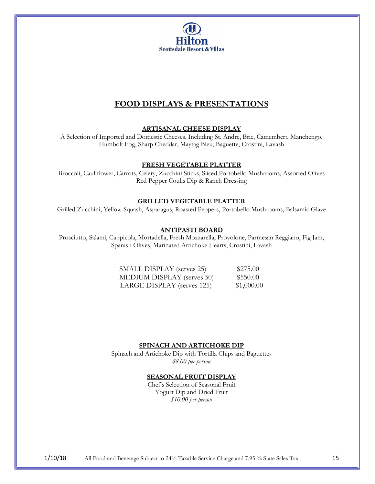

# **FOOD DISPLAYS & PRESENTATIONS**

### **ARTISANAL CHEESE DISPLAY**

A Selection of Imported and Domestic Cheeses, Including St. Andre, Brie, Camembert, Manchengo, Humbolt Fog, Sharp Cheddar, Maytag Bleu, Baguette, Crostini, Lavash

### **FRESH VEGETABLE PLATTER**

Broccoli, Cauliflower, Carrots, Celery, Zucchini Sticks, Sliced Portobello Mushrooms, Assorted Olives Red Pepper Coulis Dip & Ranch Dressing

## **GRILLED VEGETABLE PLATTER**

Grilled Zucchini, Yellow Squash, Asparagus, Roasted Peppers, Portobello Mushrooms, Balsamic Glaze

#### **ANTIPASTI BOARD**

Prosciutto, Salami, Cappicola, Mortadella, Fresh Mozzarella, Provolone, Parmesan Reggiano, Fig Jam, Spanish Olives, Marinated Artichoke Hearts, Crostini, Lavash

| SMALL DISPLAY (serves 25)  | \$275.00   |
|----------------------------|------------|
| MEDIUM DISPLAY (serves 50) | \$550.00   |
| LARGE DISPLAY (serves 125) | \$1,000.00 |

#### **SPINACH AND ARTICHOKE DIP**

Spinach and Artichoke Dip with Tortilla Chips and Baguettes *\$8.00 per person*

## **SEASONAL FRUIT DISPLAY**

Chef's Selection of Seasonal Fruit Yogurt Dip and Dried Fruit *\$10.00 per person*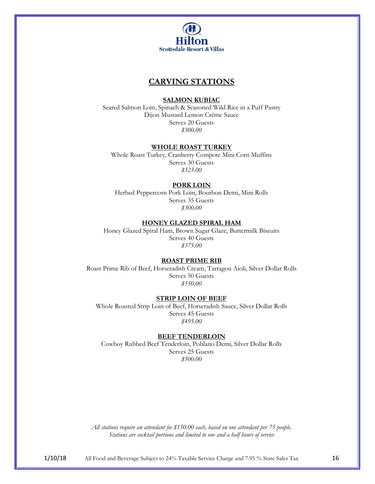

# **CARVING STATIONS**

#### **SALMON KUBIAC**

Seared Salmon Loin, Spinach & Seasoned Wild Rice in a Puff Pastry Dijon Mustard Lemon Crème Sauce Serves 20 Guests *\$300.00*

#### **WHOLE ROAST TURKEY**

Whole Roast Turkey, Cranberry Compote Mini Corn Muffins Serves 30 Guests *\$325.00*

#### **PORK LOIN**

Herbed Peppercorn Pork Loin, Bourbon Demi, Mini Rolls Serves 35 Guests *\$300.00*

## **HONEY GLAZED SPIRAL HAM**

Honey Glazed Spiral Ham, Brown Sugar Glaze, Buttermilk Biscuits Serves 40 Guests *\$375.00*

#### **ROAST PRIME RIB**

Roast Prime Rib of Beef, Horseradish Cream, Tarragon Aioli, Silver Dollar Rolls Serves 50 Guests *\$550.00*

#### **STRIP LOIN OF BEEF**

Whole Roasted Strip Loin of Beef, Horseradish Sauce, Silver Dollar Rolls Serves 45 Guests *\$495.00*

#### **BEEF TENDERLOIN**

Cowboy Rubbed Beef Tenderloin, Poblano Demi, Silver Dollar Rolls Serves 25 Guests *\$500.00*

*All stations require an attendant fee \$150.00 each, based on one attendant per 75 people. Stations are cocktail portions and limited to one and a half hours of service*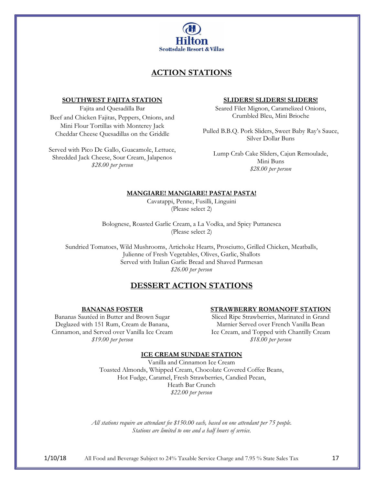

# **ACTION STATIONS**

#### **SOUTHWEST FAJITA STATION**

Fajita and Quesadilla Bar Beef and Chicken Fajitas, Peppers, Onions, and Mini Flour Tortillas with Monterey Jack Cheddar Cheese Quesadillas on the Griddle

Served with Pico De Gallo, Guacamole, Lettuce, Shredded Jack Cheese, Sour Cream, Jalapenos *\$28.00 per person*

#### **SLIDERS! SLIDERS! SLIDERS!**

Seared Filet Mignon, Caramelized Onions, Crumbled Bleu, Mini Brioche

Pulled B.B.Q. Pork Sliders, Sweet Baby Ray's Sauce, Silver Dollar Buns

Lump Crab Cake Sliders, Cajun Remoulade, Mini Buns *\$28.00 per person*

## **MANGIARE! MANGIARE! PASTA! PASTA!**

Cavatappi, Penne, Fusilli, Linguini (Please select 2)

Bolognese, Roasted Garlic Cream, a La Vodka, and Spicy Puttanesca (Please select 2)

Sundried Tomatoes, Wild Mushrooms, Artichoke Hearts, Prosciutto, Grilled Chicken, Meatballs, Julienne of Fresh Vegetables, Olives, Garlic, Shallots Served with Italian Garlic Bread and Shaved Parmesan *\$26.00 per person*

# **DESSERT ACTION STATIONS**

#### **BANANAS FOSTER**

Bananas Sautéed in Butter and Brown Sugar Deglazed with 151 Rum, Cream de Banana, Cinnamon, and Served over Vanilla Ice Cream *\$19.00 per person*

## **STRAWBERRY ROMANOFF STATION**

Sliced Ripe Strawberries, Marinated in Grand Marnier Served over French Vanilla Bean Ice Cream, and Topped with Chantilly Cream *\$18.00 per person*

## **ICE CREAM SUNDAE STATION**

Vanilla and Cinnamon Ice Cream Toasted Almonds, Whipped Cream, Chocolate Covered Coffee Beans, Hot Fudge, Caramel, Fresh Strawberries, Candied Pecan, Heath Bar Crunch *\$22.00 per person*

*All stations require an attendant fee \$150.00 each, based on one attendant per 75 people. Stations are limited to one and a half hours of service.*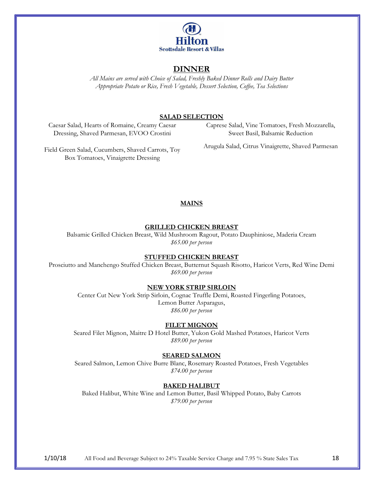

# **DINNER**

*All Mains are served with Choice of Salad, Freshly Baked Dinner Rolls and Dairy Butter Appropriate Potato or Rice, Fresh Vegetable, Dessert Selection, Coffee, Tea Selections*

#### **SALAD SELECTION**

Caesar Salad, Hearts of Romaine, Creamy Caesar Dressing, Shaved Parmesan, EVOO Crostini

Caprese Salad, Vine Tomatoes, Fresh Mozzarella, Sweet Basil, Balsamic Reduction

Field Green Salad, Cucumbers, Shaved Carrots, Toy Box Tomatoes, Vinaigrette Dressing

Arugula Salad, Citrus Vinaigrette, Shaved Parmesan

#### **MAINS**

#### **GRILLED CHICKEN BREAST**

Balsamic Grilled Chicken Breast, Wild Mushroom Ragout, Potato Dauphiniose, Maderia Cream *\$65.00 per person*

#### **STUFFED CHICKEN BREAST**

Prosciutto and Manchengo Stuffed Chicken Breast, Butternut Squash Risotto, Haricot Verts, Red Wine Demi *\$69.00 per person*

#### **NEW YORK STRIP SIRLOIN**

Center Cut New York Strip Sirloin, Cognac Truffle Demi, Roasted Fingerling Potatoes, Lemon Butter Asparagus, *\$86.00 per person*

#### **FILET MIGNON**

Seared Filet Mignon, Maitre D Hotel Butter, Yukon Gold Mashed Potatoes, Haricot Verts *\$89.00 per person*

#### **SEARED SALMON**

Seared Salmon, Lemon Chive Burre Blanc, Rosemary Roasted Potatoes, Fresh Vegetables *\$74.00 per person*

#### **BAKED HALIBUT**

Baked Halibut, White Wine and Lemon Butter, Basil Whipped Potato, Baby Carrots *\$79.00 per person*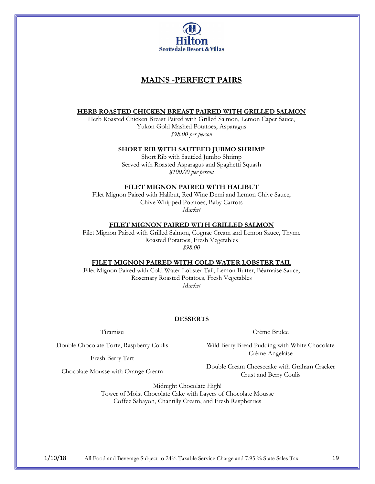

# **MAINS -PERFECT PAIRS**

#### **HERB ROASTED CHICKEN BREAST PAIRED WITH GRILLED SALMON**

Herb Roasted Chicken Breast Paired with Grilled Salmon, Lemon Caper Sauce, Yukon Gold Mashed Potatoes, Asparagus *\$98.00 per person*

#### **SHORT RIB WITH SAUTEED JUBMO SHRIMP**

Short Rib with Sautéed Jumbo Shrimp Served with Roasted Asparagus and Spaghetti Squash *\$100.00 per person*

#### **FILET MIGNON PAIRED WITH HALIBUT**

Filet Mignon Paired with Halibut, Red Wine Demi and Lemon Chive Sauce, Chive Whipped Potatoes, Baby Carrots *Market*

#### **FILET MIGNON PAIRED WITH GRILLED SALMON**

Filet Mignon Paired with Grilled Salmon, Cognac Cream and Lemon Sauce, Thyme Roasted Potatoes, Fresh Vegetables *\$98.00*

#### **FILET MIGNON PAIRED WITH COLD WATER LOBSTER TAIL**

Filet Mignon Paired with Cold Water Lobster Tail, Lemon Butter, Béarnaise Sauce, Rosemary Roasted Potatoes, Fresh Vegetables *Market*

## **DESSERTS**

Tiramisu

Double Chocolate Torte, Raspberry Coulis

Fresh Berry Tart

Wild Berry Bread Pudding with White Chocolate Crème Angelaise

Crème Brulee

Chocolate Mousse with Orange Cream

Double Cream Cheesecake with Graham Cracker Crust and Berry Coulis

Midnight Chocolate High! Tower of Moist Chocolate Cake with Layers of Chocolate Mousse Coffee Sabayon, Chantilly Cream, and Fresh Raspberries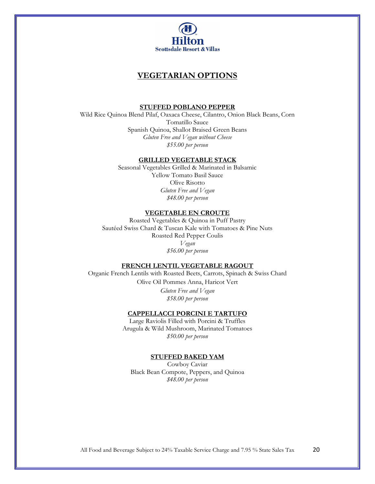

## **VEGETARIAN OPTIONS**

#### **STUFFED POBLANO PEPPER**

Wild Rice Quinoa Blend Pilaf, Oaxaca Cheese, Cilantro, Onion Black Beans, Corn Tomatillo Sauce Spanish Quinoa, Shallot Braised Green Beans *Gluten Free and Vegan without Cheese \$55.00 per person*

#### **GRILLED VEGETABLE STACK**

Seasonal Vegetables Grilled & Marinated in Balsamic Yellow Tomato Basil Sauce Olive Risotto *Gluten Free and Vegan \$48.00 per person*

#### **VEGETABLE EN CROUTE**

Roasted Vegetables & Quinoa in Puff Pastry Sautéed Swiss Chard & Tuscan Kale with Tomatoes & Pine Nuts Roasted Red Pepper Coulis *Vegan \$56.00 per person*

#### **FRENCH LENTIL VEGETABLE RAGOUT**

Organic French Lentils with Roasted Beets, Carrots, Spinach & Swiss Chard Olive Oil Pommes Anna, Haricot Vert *Gluten Free and Vegan \$58.00 per person* 

## **CAPPELLACCI PORCINI E TARTUFO**

Large Raviolis Filled with Porcini & Truffles Arugula & Wild Mushroom, Marinated Tomatoes *\$50.00 per person* 

#### **STUFFED BAKED YAM**

Cowboy Caviar Black Bean Compote, Peppers, and Quinoa *\$48.00 per person*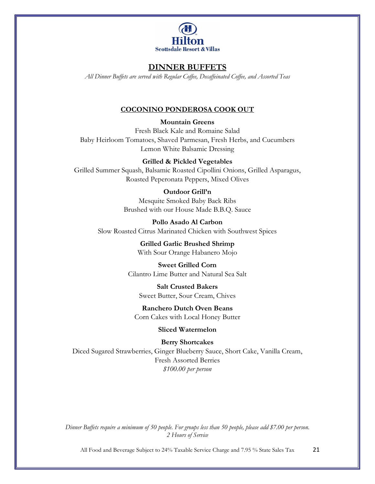

# **DINNER BUFFETS**

*All Dinner Buffets are served with Regular Coffee, Decaffeinated Coffee, and Assorted Teas*

## **COCONINO PONDEROSA COOK OUT**

**Mountain Greens**

Fresh Black Kale and Romaine Salad Baby Heirloom Tomatoes, Shaved Parmesan, Fresh Herbs, and Cucumbers Lemon White Balsamic Dressing

## **Grilled & Pickled Vegetables**

Grilled Summer Squash, Balsamic Roasted Cipollini Onions, Grilled Asparagus, Roasted Peperonata Peppers, Mixed Olives

## **Outdoor Grill'n**

Mesquite Smoked Baby Back Ribs Brushed with our House Made B.B.Q. Sauce

**Pollo Asado Al Carbon** Slow Roasted Citrus Marinated Chicken with Southwest Spices

> **Grilled Garlic Brushed Shrimp** With Sour Orange Habanero Mojo

**Sweet Grilled Corn** Cilantro Lime Butter and Natural Sea Salt

**Salt Crusted Bakers** Sweet Butter, Sour Cream, Chives

**Ranchero Dutch Oven Beans** Corn Cakes with Local Honey Butter

## **Sliced Watermelon**

**Berry Shortcakes** Diced Sugared Strawberries, Ginger Blueberry Sauce, Short Cake, Vanilla Cream, Fresh Assorted Berries *\$100.00 per person*

*Dinner Buffets require a minimum of 50 people. For groups less than 50 people, please add \$7.00 per person. 2 Hours of Service*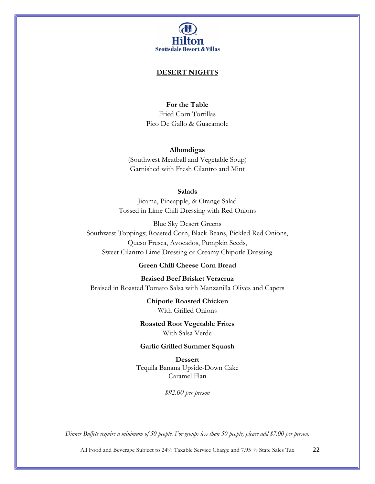

#### **DESERT NIGHTS**

## **For the Table**

Fried Corn Tortillas Pico De Gallo & Guacamole

#### **Albondigas**

(Southwest Meatball and Vegetable Soup) Garnished with Fresh Cilantro and Mint

## **Salads**

Jicama, Pineapple, & Orange Salad Tossed in Lime Chili Dressing with Red Onions

Blue Sky Desert Greens Southwest Toppings; Roasted Corn, Black Beans, Pickled Red Onions, Queso Fresca, Avocados, Pumpkin Seeds, Sweet Cilantro Lime Dressing or Creamy Chipotle Dressing

# **Green Chili Cheese Corn Bread**

**Braised Beef Brisket Veracruz**  Braised in Roasted Tomato Salsa with Manzanilla Olives and Capers

> **Chipotle Roasted Chicken** With Grilled Onions

**Roasted Root Vegetable Frites** With Salsa Verde

## **Garlic Grilled Summer Squash**

**Dessert** Tequila Banana Upside-Down Cake Caramel Flan

*\$92.00 per person*

*Dinner Buffets require a minimum of 50 people. For groups less than 50 people, please add \$7.00 per person.*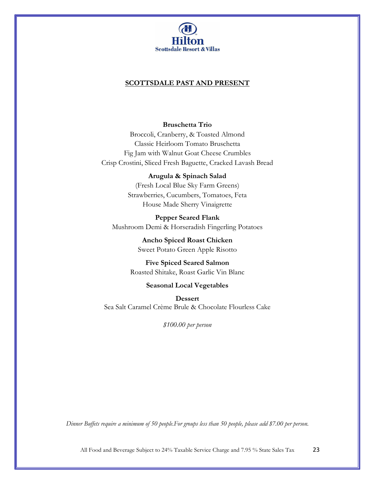

## **SCOTTSDALE PAST AND PRESENT**

## **Bruschetta Trio**

Broccoli, Cranberry, & Toasted Almond Classic Heirloom Tomato Bruschetta Fig Jam with Walnut Goat Cheese Crumbles Crisp Crostini, Sliced Fresh Baguette, Cracked Lavash Bread

### **Arugula & Spinach Salad**

(Fresh Local Blue Sky Farm Greens) Strawberries, Cucumbers, Tomatoes, Feta House Made Sherry Vinaigrette

**Pepper Seared Flank** Mushroom Demi & Horseradish Fingerling Potatoes

> **Ancho Spiced Roast Chicken** Sweet Potato Green Apple Risotto

**Five Spiced Seared Salmon** Roasted Shitake, Roast Garlic Vin Blanc

## **Seasonal Local Vegetables**

**Dessert** Sea Salt Caramel Crème Brule & Chocolate Flourless Cake

*\$100.00 per person*

*Dinner Buffets require a minimum of 50 people.For groups less than 50 people, please add \$7.00 per person.*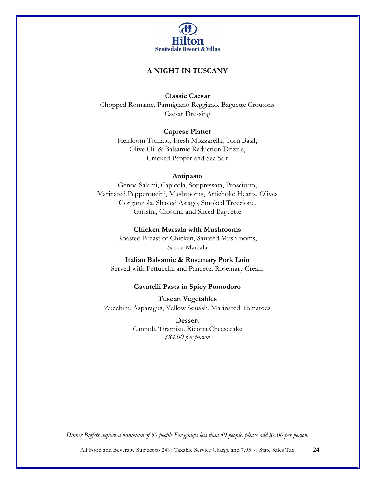

## **A NIGHT IN TUSCANY**

**Classic Caesar**

Chopped Romaine, Parmigiano Reggiano, Baguette Croutons Caesar Dressing

**Caprese Platter**

Heirloom Tomato, Fresh Mozzarella, Torn Basil, Olive Oil & Balsamic Reduction Drizzle, Cracked Pepper and Sea Salt

#### **Antipasto**

Genoa Salami, Capicola, Soppressata, Prosciutto, Marinated Pepperoncini, Mushrooms, Artichoke Hearts, Olives Gorgonzola, Shaved Asiago, Smoked Treccione, Grissini, Crostini, and Sliced Baguette

**Chicken Marsala with Mushrooms**

Roasted Breast of Chicken, Sautéed Mushrooms, Sauce Marsala

**Italian Balsamic & Rosemary Pork Loin** Served with Fettuccini and Pancetta Rosemary Cream

## **Cavatelli Pasta in Spicy Pomodoro**

**Tuscan Vegetables**  Zucchini, Asparagus, Yellow Squash, Marinated Tomatoes

> **Dessert** Cannoli, Tiramisu, Ricotta Cheesecake *\$84.00 per person*

*Dinner Buffets require a minimum of 50 people.For groups less than 50 people, please add \$7.00 per person.*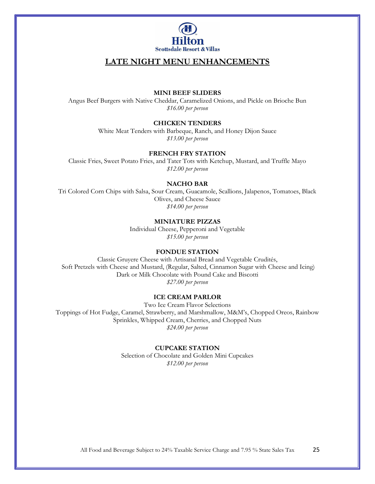

# **LATE NIGHT MENU ENHANCEMENTS**

#### **MINI BEEF SLIDERS**

Angus Beef Burgers with Native Cheddar, Caramelized Onions, and Pickle on Brioche Bun *\$16.00 per person*

#### **CHICKEN TENDERS**

White Meat Tenders with Barbeque, Ranch, and Honey Dijon Sauce *\$13.00 per person*

#### **FRENCH FRY STATION**

Classic Fries, Sweet Potato Fries, and Tater Tots with Ketchup, Mustard, and Truffle Mayo *\$12.00 per person*

#### **NACHO BAR**

Tri Colored Corn Chips with Salsa, Sour Cream, Guacamole, Scallions, Jalapenos, Tomatoes, Black Olives, and Cheese Sauce *\$14.00 per person*

## **MINIATURE PIZZAS**

Individual Cheese, Pepperoni and Vegetable *\$15.00 per person*

#### **FONDUE STATION**

Classic Gruyere Cheese with Artisanal Bread and Vegetable Crudités, Soft Pretzels with Cheese and Mustard, (Regular, Salted, Cinnamon Sugar with Cheese and Icing) Dark or Milk Chocolate with Pound Cake and Biscotti *\$27.00 per person* 

#### **ICE CREAM PARLOR**

Two Ice Cream Flavor Selections Toppings of Hot Fudge, Caramel, Strawberry, and Marshmallow, M&M's, Chopped Oreos, Rainbow Sprinkles, Whipped Cream, Cherries, and Chopped Nuts *\$24.00 per person* 

#### **CUPCAKE STATION**

Selection of Chocolate and Golden Mini Cupcakes *\$12.00 per person*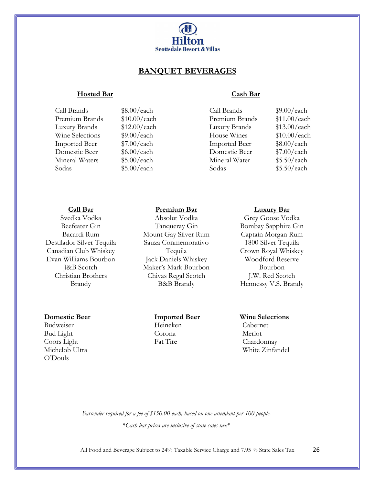

## **BANQUET BEVERAGES**

## **Hosted Bar Cash Bar**

Call Brands \$8.00/each Call Brands \$9.00/each Premium Brands \$10.00/each Premium Brands \$11.00/each Luxury Brands \$12.00/each Luxury Brands \$13.00/each Wine Selections  $$9.00/each$  House Wines  $$10.00/each$ Imported Beer \$7.00/each Imported Beer \$8.00/each Domestic Beer \$6.00/each Domestic Beer \$7.00/each Mineral Waters \$5.00/each Mineral Water \$5.50/each Sodas  $$5.00/each$  Sodas  $$5.50/each$ 

## **Call Bar**

Svedka Vodka Beefeater Gin Bacardi Rum Destilador Silver Tequila Canadian Club Whiskey Evan Williams Bourbon J&B Scotch Christian Brothers Brandy

#### **Domestic Beer Imported Beer Wine Selections**

Budweiser Heineken Cabernet Bud Light Corona Merlot Coors Light Fat Tire Chardonnay<br>Michelob Ultra White Zinfar O'Douls

## **Premium Bar**

Absolut Vodka Tanqueray Gin Mount Gay Silver Rum Sauza Conmemorativo Tequila Jack Daniels Whiskey Maker's Mark Bourbon Chivas Regal Scotch B&B Brandy

### **Luxury Bar**

Grey Goose Vodka Bombay Sapphire Gin Captain Morgan Rum 1800 Silver Tequila Crown Royal Whiskey Woodford Reserve Bourbon J.W. Red Scotch Hennessy V.S. Brandy

White Zinfandel

*Bartender required for a fee of \$150.00 each, based on one attendant per 100 people. \*Cash bar prices are inclusive of state sales tax\**